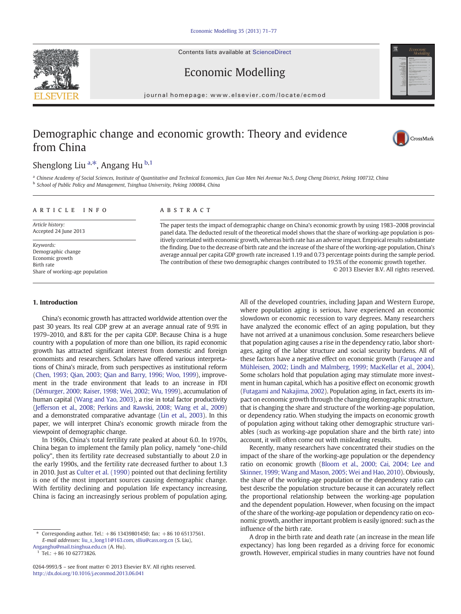Contents lists available at [ScienceDirect](http://www.sciencedirect.com/science/journal/02649993)





Economic Modelling

journal homepage: www.elsevier.com/locate/ecmod

## Demographic change and economic growth: Theory and evidence from China



## Shenglong Liu <sup>a,\*</sup>, Angang Hu <sup>b,1</sup>

a Chinese Academy of Social Sciences, Institute of Quantitative and Technical Economics, Jian Guo Men Nei Avenue No.5, Dong Cheng District, Peking 100732, China <sup>b</sup> School of Public Policy and Management, Tsinghua University, Peking 100084, China

### article info abstract

Article history: Accepted 24 June 2013

Keywords: Demographic change Economic growth Birth rate Share of working-age population

The paper tests the impact of demographic change on China's economic growth by using 1983–2008 provincial panel data. The deducted result of the theoretical model shows that the share of working-age population is positively correlated with economic growth, whereas birth rate has an adverse impact. Empirical results substantiate the finding. Due to the decrease of birth rate and the increase of the share of the working-age population, China's average annual per capita GDP growth rate increased 1.19 and 0.73 percentage points during the sample period. The contribution of these two demographic changes contributed to 19.5% of the economic growth together. © 2013 Elsevier B.V. All rights reserved.

### 1. Introduction

China's economic growth has attracted worldwide attention over the past 30 years. Its real GDP grew at an average annual rate of 9.9% in 1979–2010, and 8.8% for the per capita GDP. Because China is a huge country with a population of more than one billion, its rapid economic growth has attracted significant interest from domestic and foreign economists and researchers. Scholars have offered various interpretations of China's miracle, from such perspectives as institutional reform [\(Chen, 1993; Qian, 2003; Qian and Barry, 1996; Woo, 1999](#page--1-0)), improvement in the trade environment that leads to an increase in FDI [\(Démurger, 2000; Raiser, 1998; Wei, 2002; Wu, 1999\)](#page--1-0), accumulation of human capital ([Wang and Yao, 2003](#page--1-0)), a rise in total factor productivity [\(Jefferson et al., 2008; Perkins and Rawski, 2008; Wang et al., 2009](#page--1-0)) and a demonstrated comparative advantage [\(Lin et al., 2003](#page--1-0)). In this paper, we will interpret China's economic growth miracle from the viewpoint of demographic change.

In 1960s, China's total fertility rate peaked at about 6.0. In 1970s, China began to implement the family plan policy, namely "one-child policy", then its fertility rate decreased substantially to about 2.0 in the early 1990s, and the fertility rate decreased further to about 1.3 in 2010. Just as [Culter et al. \(1990\)](#page--1-0) pointed out that declining fertility is one of the most important sources causing demographic change. With fertility declining and population life expectancy increasing, China is facing an increasingly serious problem of population aging. All of the developed countries, including Japan and Western Europe, where population aging is serious, have experienced an economic slowdown or economic recession to vary degrees. Many researchers have analyzed the economic effect of an aging population, but they have not arrived at a unanimous conclusion. Some researchers believe that population aging causes a rise in the dependency ratio, labor shortages, aging of the labor structure and social security burdens. All of these factors have a negative effect on economic growth ([Faruqee and](#page--1-0) [Mühleisen, 2002; Lindh and Malmberg, 1999; MacKellar et al., 2004](#page--1-0)). Some scholars hold that population aging may stimulate more investment in human capital, which has a positive effect on economic growth [\(Futagami and Nakajima, 2002](#page--1-0)). Population aging, in fact, exerts its impact on economic growth through the changing demographic structure, that is changing the share and structure of the working-age population, or dependency ratio. When studying the impacts on economic growth of population aging without taking other demographic structure variables (such as working-age population share and the birth rate) into account, it will often come out with misleading results.

Recently, many researchers have concentrated their studies on the impact of the share of the working-age population or the dependency ratio on economic growth ([Bloom et al., 2000; Cai, 2004; Lee and](#page--1-0) [Skinner, 1999; Wang and Mason, 2005; Wei and Hao, 2010\)](#page--1-0). Obviously, the share of the working-age population or the dependency ratio can best describe the population structure because it can accurately reflect the proportional relationship between the working-age population and the dependent population. However, when focusing on the impact of the share of the working-age population or dependency ratio on economic growth, another important problem is easily ignored: such as the influence of the birth rate.

A drop in the birth rate and death rate (an increase in the mean life expectancy) has long been regarded as a driving force for economic growth. However, empirical studies in many countries have not found

Corresponding author. Tel.: +86 13439801450; fax: +86 10 65137561. E-mail addresses: [liu\\_s\\_long11@163.com](mailto:liu_s_long11@163.com), [slliu@cass.org.cn](mailto:slliu@cass.org.cn) (S. Liu),

[Anganghu@mail.tsinghua.edu.cn](mailto:Anganghu@mail.tsinghua.edu.cn) (A. Hu).

Tel.:  $+86$  10 62773826.

<sup>0264-9993/\$</sup> – see front matter © 2013 Elsevier B.V. All rights reserved. <http://dx.doi.org/10.1016/j.econmod.2013.06.041>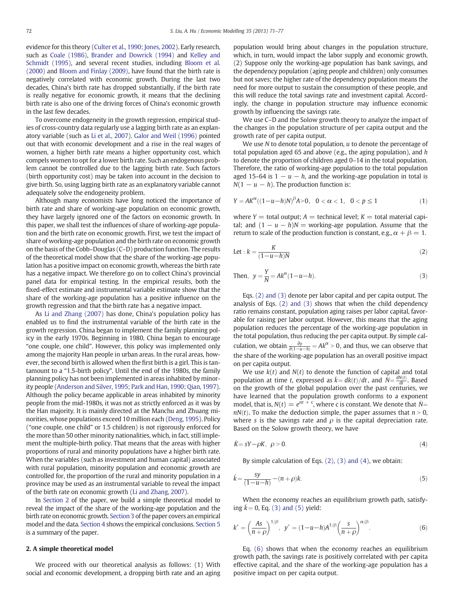evidence for this theory ([Culter et al., 1990; Jones, 2002\)](#page--1-0). Early research, such as [Coale \(1986\)](#page--1-0), [Brander and Dowrick \(1994\)](#page--1-0) and [Kelley and](#page--1-0) [Schmidt \(1995\),](#page--1-0) and several recent studies, including [Bloom et al.](#page--1-0) [\(2000\)](#page--1-0) and [Bloom and Finlay \(2009\),](#page--1-0) have found that the birth rate is negatively correlated with economic growth. During the last two decades, China's birth rate has dropped substantially, if the birth rate is really negative for economic growth, it means that the declining birth rate is also one of the driving forces of China's economic growth in the last few decades.

To overcome endogeneity in the growth regression, empirical studies of cross-country data regularly use a lagging birth rate as an explanatory variable (such as [Li et al., 2007\)](#page--1-0). [Galor and Weil \(1996\)](#page--1-0) pointed out that with economic development and a rise in the real wages of women, a higher birth rate means a higher opportunity cost, which compels women to opt for a lower birth rate. Such an endogenous problem cannot be controlled due to the lagging birth rate. Such factors (birth opportunity cost) may be taken into account in the decision to give birth. So, using lagging birth rate as an explanatory variable cannot adequately solve the endogeneity problem.

Although many economists have long noticed the importance of birth rate and share of working-age population on economic growth, they have largely ignored one of the factors on economic growth. In this paper, we shall test the influences of share of working-age population and the birth rate on economic growth. First, we test the impact of share of working-age population and the birth rate on economic growth on the basis of the Cobb–Douglas (C–D) production function. The results of the theoretical model show that the share of the working-age population has a positive impact on economic growth, whereas the birth rate has a negative impact. We therefore go on to collect China's provincial panel data for empirical testing. In the empirical results, both the fixed-effect estimate and instrumental variable estimate show that the share of the working-age population has a positive influence on the growth regression and that the birth rate has a negative impact.

As [Li and Zhang \(2007\)](#page--1-0) has done, China's population policy has enabled us to find the instrumental variable of the birth rate in the growth regression. China began to implement the family planning policy in the early 1970s. Beginning in 1980, China began to encourage "one couple, one child". However, this policy was implemented only among the majority Han people in urban areas. In the rural areas, however, the second birth is allowed when the first birth is a girl. This is tantamount to a "1.5-birth policy". Until the end of the 1980s, the family planning policy has not been implemented in areas inhabited by minority people ([Anderson and Silver, 1995; Park and Han, 1990; Qian, 1997\)](#page--1-0). Although the policy became applicable in areas inhabited by minority people from the mid-1980s, it was not as strictly enforced as it was by the Han majority. It is mainly directed at the Manchu and Zhuang minorities, whose populations exceed 10 million each [\(Deng, 1995\)](#page--1-0). Policy ("one couple, one child" or 1.5 children) is not rigorously enforced for the more than 50 other minority nationalities, which, in fact, still implement the multiple-birth policy. That means that the areas with higher proportions of rural and minority populations have a higher birth rate. When the variables (such as investment and human capital) associated with rural population, minority population and economic growth are controlled for, the proportion of the rural and minority population in a province may be used as an instrumental variable to reveal the impact of the birth rate on economic growth [\(Li and Zhang, 2007\)](#page--1-0).

In Section 2 of the paper, we build a simple theoretical model to reveal the impact of the share of the working-age population and the birth rate on economic growth. [Section 3](#page--1-0) of the paper covers an empirical model and the data. [Section 4](#page--1-0) shows the empirical conclusions. [Section 5](#page--1-0) is a summary of the paper.

### 2. A simple theoretical model

We proceed with our theoretical analysis as follows: (1) With social and economic development, a dropping birth rate and an aging population would bring about changes in the population structure, which, in turn, would impact the labor supply and economic growth. (2) Suppose only the working-age population has bank savings, and the dependency population (aging people and children) only consumes but not saves; the higher rate of the dependency population means the need for more output to sustain the consumption of these people, and this will reduce the total savings rate and investment capital. Accordingly, the change in population structure may influence economic growth by influencing the savings rate.

We use C–D and the Solow growth theory to analyze the impact of the changes in the population structure of per capita output and the growth rate of per capita output.

We use  $N$  to denote total population,  $u$  to denote the percentage of total population aged 65 and above (e.g., the aging population), and  $h$ to denote the proportion of children aged 0–14 in the total population. Therefore, the ratio of working-age population to the total population aged 15–64 is  $1 - u - h$ , and the working-age population in total is  $N(1 - u - h)$ . The production function is:

$$
Y = AK^{\alpha}((1-u-h)N)^{\beta}A>0, \quad 0 < \alpha < 1, \quad 0 < p \le 1
$$
 (1)

where  $Y =$  total output;  $A =$  technical level;  $K =$  total material capital; and  $(1 - u - h)N =$  working-age population. Assume that the return to scale of the production function is constant, e.g.,  $\alpha + \beta = 1$ .

$$
Let : k = \frac{K}{(1 - u - h)N}
$$
 (2)

Then, 
$$
y = \frac{Y}{N} = Ak^{\alpha}(1 - u - h).
$$
 (3)

Eqs. (2) and (3) denote per labor capital and per capita output. The analysis of Eqs. (2) and (3) shows that when the child dependency ratio remains constant, population aging raises per labor capital, favorable for raising per labor output. However, this means that the aging population reduces the percentage of the working-age population in the total population, thus reducing the per capita output. By simple calculation, we obtain  $\frac{\partial y}{\partial (1 - u - h)} = Ak^{\alpha} > 0$ , and thus, we can observe that the share of the working-age population has an overall positive impact on per capita output.

We use  $k(t)$  and  $N(t)$  to denote the function of capital and total population at time t, expressed as  $k = dk(t)/dt$ , and  $\dot{N} = \frac{dN(t)}{dt}$ . Based on the growth of the global population over the past centuries, we have learned that the population growth conforms to a exponent model, that is,  $N(t) = e^{nt + c}$ , where c is constant. We denote that  $N =$  $nN(t)$ . To make the deduction simple, the paper assumes that  $n > 0$ , where s is the savings rate and  $\rho$  is the capital depreciation rate. Based on the Solow growth theory, we have

$$
\dot{K} = sY - \rho K, \ \rho > 0. \tag{4}
$$

By simple calculation of Eqs. (2), (3) and (4), we obtain:

$$
\dot{k} = \frac{sy}{(1 - u - h)} - (n + \rho)k.
$$
\n(5)

When the economy reaches an equilibrium growth path, satisfying  $k = 0$ , Eq. (3) and (5) yield:

$$
k^* = \left(\frac{As}{n+\rho}\right)^{1/\beta}, \ \ y^* = (1-u-h)A^{1/\beta}\left(\frac{s}{n+\rho}\right)^{\alpha/\beta}.\tag{6}
$$

Eq. (6) shows that when the economy reaches an equilibrium growth path, the savings rate is positively correlated with per capita effective capital, and the share of the working-age population has a positive impact on per capita output.